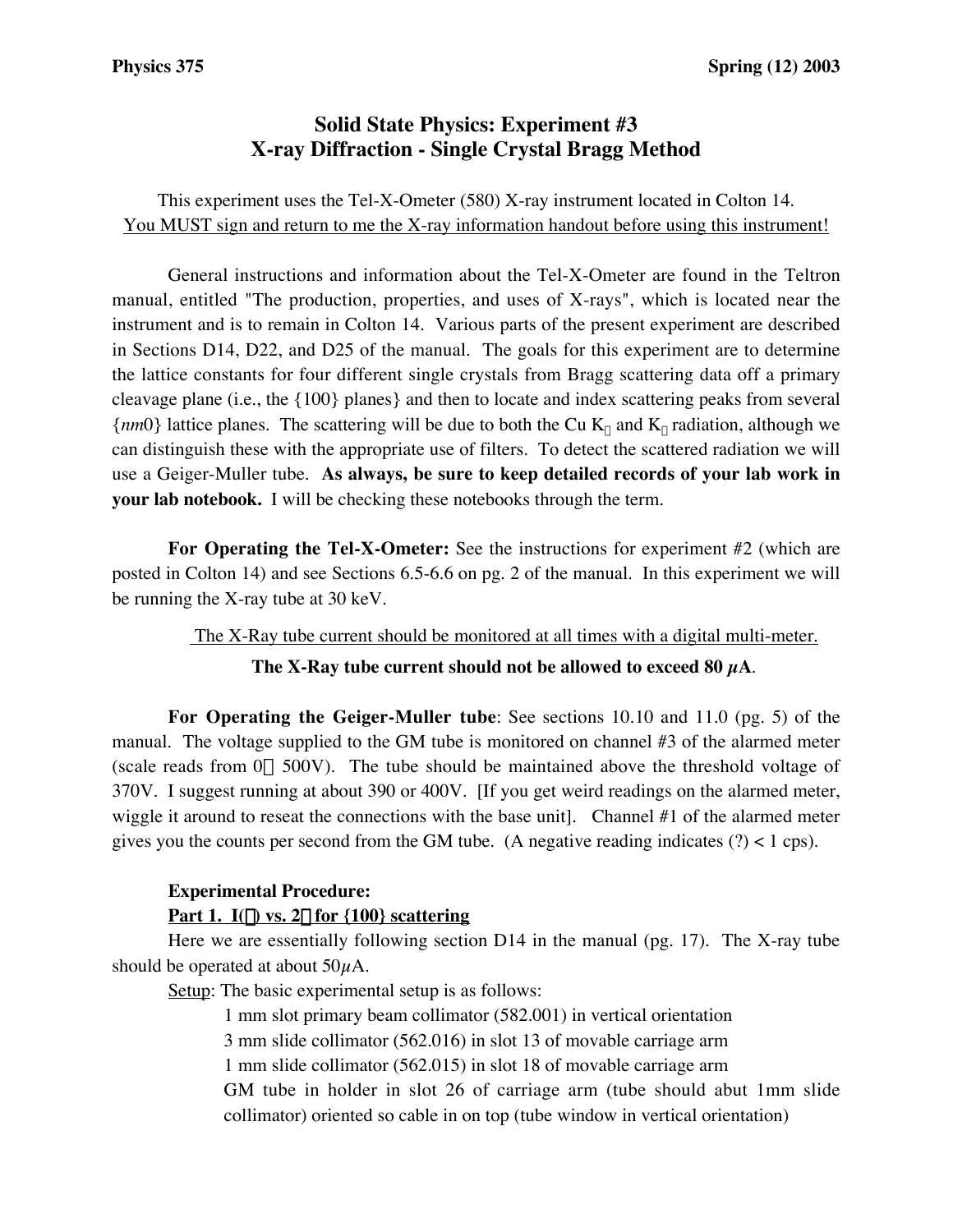# **Solid State Physics: Experiment #3 X-ray Diffraction - Single Crystal Bragg Method**

## This experiment uses the Tel-X-Ometer (580) X-ray instrument located in Colton 14. You MUST sign and return to me the X-ray information handout before using this instrument!

General instructions and information about the Tel-X-Ometer are found in the Teltron manual, entitled "The production, properties, and uses of X-rays", which is located near the instrument and is to remain in Colton 14. Various parts of the present experiment are described in Sections D14, D22, and D25 of the manual. The goals for this experiment are to determine the lattice constants for four different single crystals from Bragg scattering data off a primary cleavage plane (i.e., the {100} planes} and then to locate and index scattering peaks from several  ${nm0}$  lattice planes. The scattering will be due to both the Cu  $K_{\alpha}$  and  $K_{\beta}$  radiation, although we can distinguish these with the appropriate use of filters. To detect the scattered radiation we will use a Geiger-Muller tube. **As always, be sure to keep detailed records of your lab work in your lab notebook.** I will be checking these notebooks through the term.

**For Operating the Tel-X-Ometer:** See the instructions for experiment #2 (which are posted in Colton 14) and see Sections 6.5-6.6 on pg. 2 of the manual. In this experiment we will be running the X-ray tube at 30 keV.

The X-Ray tube current should be monitored at all times with a digital multi-meter.

#### The X-Ray tube current should not be allowed to exceed  $80 \mu A$ .

**For Operating the Geiger-Muller tube**: See sections 10.10 and 11.0 (pg. 5) of the manual. The voltage supplied to the GM tube is monitored on channel #3 of the alarmed meter (scale reads from  $0 \rightarrow 500V$ ). The tube should be maintained above the threshold voltage of 370V. I suggest running at about 390 or 400V. [If you get weird readings on the alarmed meter, wiggle it around to reseat the connections with the base unit]. Channel #1 of the alarmed meter gives you the counts per second from the GM tube. (A negative reading indicates  $(?) < 1$  cps).

### **Experimental Procedure:**

### Part 1.  $I(\theta)$  vs. 2 $\theta$  for {100} scattering

Here we are essentially following section D14 in the manual (pg. 17). The X-ray tube should be operated at about  $50\mu$ A.

Setup: The basic experimental setup is as follows:

1 mm slot primary beam collimator (582.001) in vertical orientation 3 mm slide collimator (562.016) in slot 13 of movable carriage arm 1 mm slide collimator (562.015) in slot 18 of movable carriage arm GM tube in holder in slot 26 of carriage arm (tube should abut 1mm slide collimator) oriented so cable in on top (tube window in vertical orientation)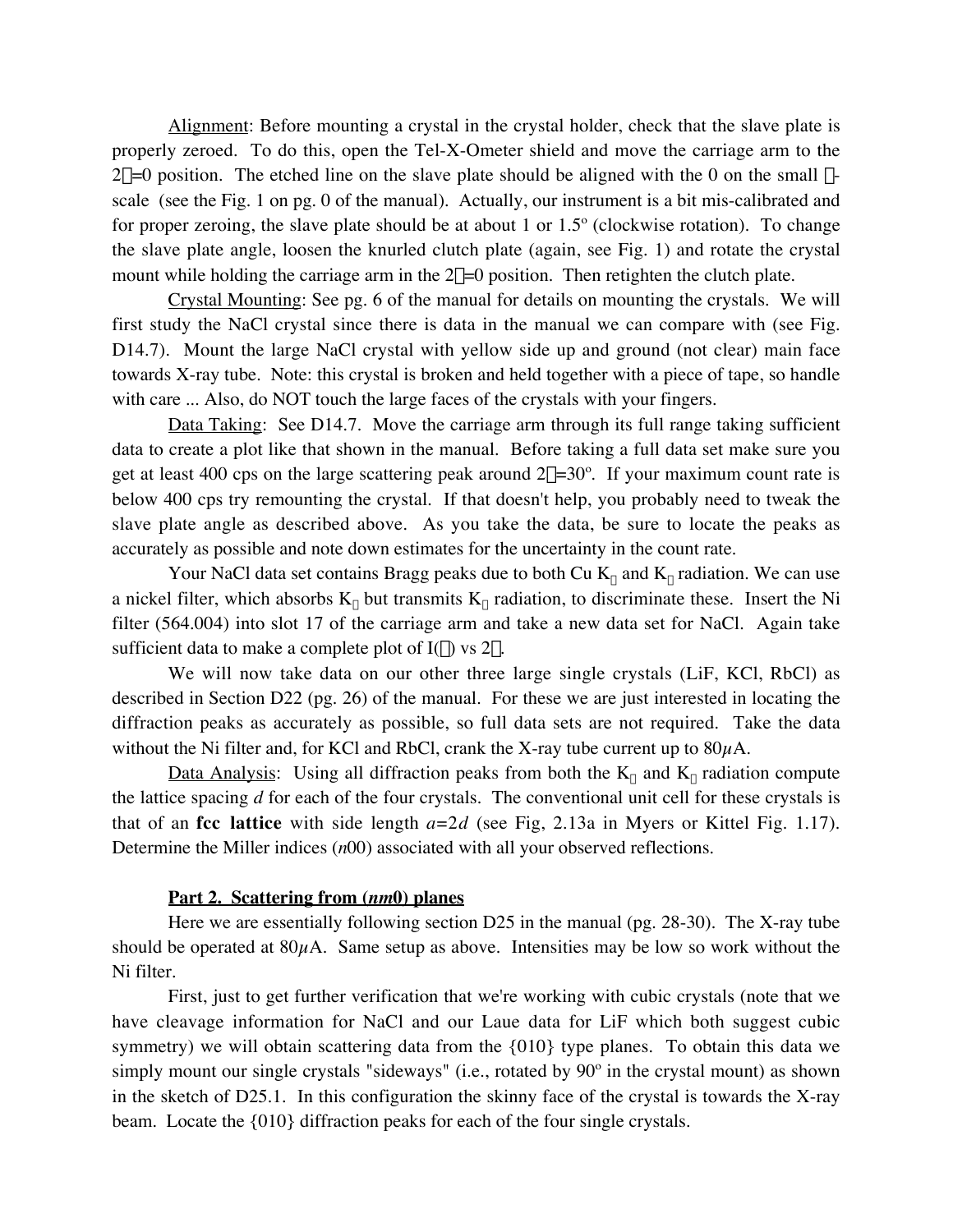Alignment: Before mounting a crystal in the crystal holder, check that the slave plate is properly zeroed. To do this, open the Tel-X-Ometer shield and move the carriage arm to the  $2\theta=0$  position. The etched line on the slave plate should be aligned with the 0 on the small  $\theta$ scale (see the Fig. 1 on pg. 0 of the manual). Actually, our instrument is a bit mis-calibrated and for proper zeroing, the slave plate should be at about 1 or 1.5º (clockwise rotation). To change the slave plate angle, loosen the knurled clutch plate (again, see Fig. 1) and rotate the crystal mount while holding the carriage arm in the  $2\theta=0$  position. Then retighten the clutch plate.

Crystal Mounting: See pg. 6 of the manual for details on mounting the crystals. We will first study the NaCl crystal since there is data in the manual we can compare with (see Fig. D14.7). Mount the large NaCl crystal with yellow side up and ground (not clear) main face towards X-ray tube. Note: this crystal is broken and held together with a piece of tape, so handle with care ... Also, do NOT touch the large faces of the crystals with your fingers.

Data Taking: See D14.7. Move the carriage arm through its full range taking sufficient data to create a plot like that shown in the manual. Before taking a full data set make sure you get at least 400 cps on the large scattering peak around  $2\theta = 30^\circ$ . If your maximum count rate is below 400 cps try remounting the crystal. If that doesn't help, you probably need to tweak the slave plate angle as described above. As you take the data, be sure to locate the peaks as accurately as possible and note down estimates for the uncertainty in the count rate.

Your NaCl data set contains Bragg peaks due to both Cu  $K_{\alpha}$  and  $K_{\beta}$  radiation. We can use a nickel filter, which absorbs  $K_{\beta}$  but transmits  $K_{\alpha}$  radiation, to discriminate these. Insert the Ni filter (564.004) into slot 17 of the carriage arm and take a new data set for NaCl. Again take sufficient data to make a complete plot of  $I(\theta)$  vs  $2\theta$ .

We will now take data on our other three large single crystals (LiF, KCl, RbCl) as described in Section D22 (pg. 26) of the manual. For these we are just interested in locating the diffraction peaks as accurately as possible, so full data sets are not required. Take the data without the Ni filter and, for KCl and RbCl, crank the X-ray tube current up to  $80\mu$ A.

<u>Data Analysis</u>: Using all diffraction peaks from both the  $K_a$  and  $K_b$  radiation compute the lattice spacing *d* for each of the four crystals. The conventional unit cell for these crystals is that of an **fcc lattice** with side length *a*=2*d* (see Fig, 2.13a in Myers or Kittel Fig. 1.17). Determine the Miller indices (*n*00) associated with all your observed reflections.

#### **Part 2. Scattering from (***nm***0) planes**

Here we are essentially following section D25 in the manual (pg. 28-30). The X-ray tube should be operated at  $80\mu$ A. Same setup as above. Intensities may be low so work without the Ni filter.

First, just to get further verification that we're working with cubic crystals (note that we have cleavage information for NaCl and our Laue data for LiF which both suggest cubic symmetry) we will obtain scattering data from the {010} type planes. To obtain this data we simply mount our single crystals "sideways" (i.e., rotated by 90º in the crystal mount) as shown in the sketch of D25.1. In this configuration the skinny face of the crystal is towards the X-ray beam. Locate the {010} diffraction peaks for each of the four single crystals.